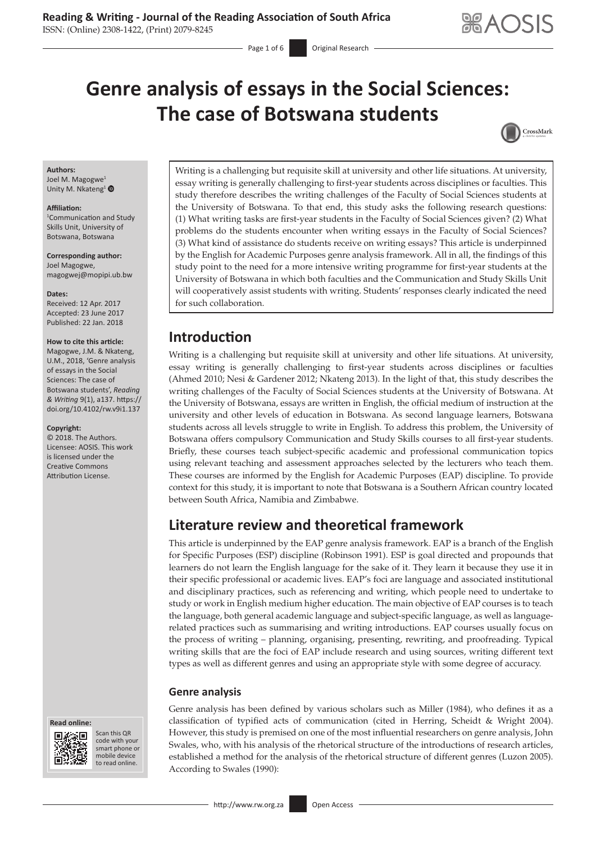# **Genre analysis of essays in the Social Sciences: The case of Botswana students**



#### **Authors:**

Joel M. Magogwe<sup>1</sup> Unity M. Nkateng<sup>[1](http://orcid.org/0000-0002-8638-5479)</sup>

#### **Affiliation:**

1 Communication and Study Skills Unit, University of Botswana, Botswana

**Corresponding author:** Joel Magogwe, [magogwej@mopipi.ub.bw](mailto:magogwej@mopipi.ub.bw)

#### **Dates:**

Received: 12 Apr. 2017 Accepted: 23 June 2017 Published: 22 Jan. 2018

#### **How to cite this article:**

Magogwe, J.M. & Nkateng, U.M., 2018, 'Genre analysis of essays in the Social Sciences: The case of Botswana students', *Reading & Writing* 9(1), a137. [https://](https://doi.org/10.4102/rw.v9i1.137) [doi.org/10.4102/rw.v9i1.137](https://doi.org/10.4102/rw.v9i1.137)

#### **Copyright:**

© 2018. The Authors. Licensee: AOSIS. This work is licensed under the Creative Commons Attribution License.





Scan this QR code with your Scan this QR<br>code with your<br>smart phone or<br>mobile device mobile device to read online. to read online.

Writing is a challenging but requisite skill at university and other life situations. At university, essay writing is generally challenging to first-year students across disciplines or faculties. This study therefore describes the writing challenges of the Faculty of Social Sciences students at the University of Botswana. To that end, this study asks the following research questions: (1) What writing tasks are first-year students in the Faculty of Social Sciences given? (2) What problems do the students encounter when writing essays in the Faculty of Social Sciences? (3) What kind of assistance do students receive on writing essays? This article is underpinned by the English for Academic Purposes genre analysis framework. All in all, the findings of this study point to the need for a more intensive writing programme for first-year students at the University of Botswana in which both faculties and the Communication and Study Skills Unit will cooperatively assist students with writing. Students' responses clearly indicated the need for such collaboration.

## **Introduction**

Writing is a challenging but requisite skill at university and other life situations. At university, essay writing is generally challenging to first-year students across disciplines or faculties (Ahmed 2010; Nesi & Gardener 2012; Nkateng 2013). In the light of that, this study describes the writing challenges of the Faculty of Social Sciences students at the University of Botswana. At the University of Botswana, essays are written in English, the official medium of instruction at the university and other levels of education in Botswana. As second language learners, Botswana students across all levels struggle to write in English. To address this problem, the University of Botswana offers compulsory Communication and Study Skills courses to all first-year students. Briefly, these courses teach subject-specific academic and professional communication topics using relevant teaching and assessment approaches selected by the lecturers who teach them. These courses are informed by the English for Academic Purposes (EAP) discipline. To provide context for this study, it is important to note that Botswana is a Southern African country located between South Africa, Namibia and Zimbabwe.

# **Literature review and theoretical framework**

This article is underpinned by the EAP genre analysis framework. EAP is a branch of the English for Specific Purposes (ESP) discipline (Robinson 1991). ESP is goal directed and propounds that learners do not learn the English language for the sake of it. They learn it because they use it in their specific professional or academic lives. EAP's foci are language and associated institutional and disciplinary practices, such as referencing and writing, which people need to undertake to study or work in English medium higher education. The main objective of EAP courses is to teach the language, both general academic language and subject-specific language, as well as languagerelated practices such as summarising and writing introductions. EAP courses usually focus on the process of writing – planning, organising, presenting, rewriting, and proofreading. Typical writing skills that are the foci of EAP include research and using sources, writing different text types as well as different genres and using an appropriate style with some degree of accuracy.

### **Genre analysis**

Genre analysis has been defined by various scholars such as Miller (1984), who defines it as a classification of typified acts of communication (cited in Herring, Scheidt & Wright 2004). However, this study is premised on one of the most influential researchers on genre analysis, John Swales, who, with his analysis of the rhetorical structure of the introductions of research articles, established a method for the analysis of the rhetorical structure of different genres (Luzon 2005). According to Swales (1990):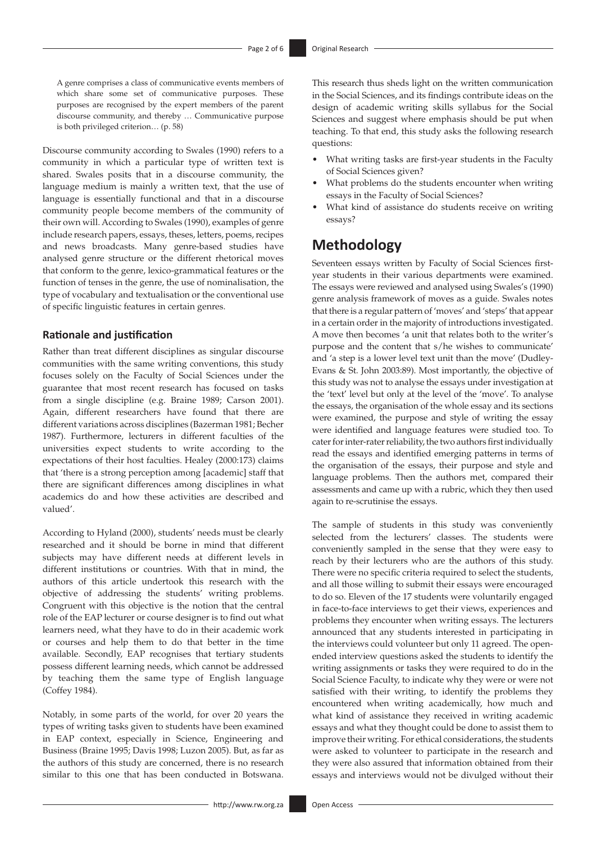A genre comprises a class of communicative events members of which share some set of communicative purposes. These purposes are recognised by the expert members of the parent discourse community, and thereby … Communicative purpose is both privileged criterion… (p. 58)

Discourse community according to Swales (1990) refers to a community in which a particular type of written text is shared. Swales posits that in a discourse community, the language medium is mainly a written text, that the use of language is essentially functional and that in a discourse community people become members of the community of their own will. According to Swales (1990), examples of genre include research papers, essays, theses, letters, poems, recipes and news broadcasts. Many genre-based studies have analysed genre structure or the different rhetorical moves that conform to the genre, lexico-grammatical features or the function of tenses in the genre, the use of nominalisation, the type of vocabulary and textualisation or the conventional use of specific linguistic features in certain genres.

### **Rationale and justification**

Rather than treat different disciplines as singular discourse communities with the same writing conventions, this study focuses solely on the Faculty of Social Sciences under the guarantee that most recent research has focused on tasks from a single discipline (e.g. Braine 1989; Carson 2001). Again, different researchers have found that there are different variations across disciplines (Bazerman 1981; Becher 1987). Furthermore, lecturers in different faculties of the universities expect students to write according to the expectations of their host faculties. Healey (2000:173) claims that 'there is a strong perception among [academic] staff that there are significant differences among disciplines in what academics do and how these activities are described and valued'.

According to Hyland (2000), students' needs must be clearly researched and it should be borne in mind that different subjects may have different needs at different levels in different institutions or countries. With that in mind, the authors of this article undertook this research with the objective of addressing the students' writing problems. Congruent with this objective is the notion that the central role of the EAP lecturer or course designer is to find out what learners need, what they have to do in their academic work or courses and help them to do that better in the time available. Secondly, EAP recognises that tertiary students possess different learning needs, which cannot be addressed by teaching them the same type of English language (Coffey 1984).

Notably, in some parts of the world, for over 20 years the types of writing tasks given to students have been examined in EAP context, especially in Science, Engineering and Business (Braine 1995; Davis 1998; Luzon 2005). But, as far as the authors of this study are concerned, there is no research similar to this one that has been conducted in Botswana.

This research thus sheds light on the written communication in the Social Sciences, and its findings contribute ideas on the design of academic writing skills syllabus for the Social Sciences and suggest where emphasis should be put when teaching. To that end, this study asks the following research questions:

- What writing tasks are first-year students in the Faculty of Social Sciences given?
- What problems do the students encounter when writing essays in the Faculty of Social Sciences?
- What kind of assistance do students receive on writing essays?

## **Methodology**

Seventeen essays written by Faculty of Social Sciences firstyear students in their various departments were examined. The essays were reviewed and analysed using Swales's (1990) genre analysis framework of moves as a guide. Swales notes that there is a regular pattern of 'moves' and 'steps' that appear in a certain order in the majority of introductions investigated. A move then becomes 'a unit that relates both to the writer's purpose and the content that s/he wishes to communicate' and 'a step is a lower level text unit than the move' (Dudley-Evans & St. John 2003:89). Most importantly, the objective of this study was not to analyse the essays under investigation at the 'text' level but only at the level of the 'move'. To analyse the essays, the organisation of the whole essay and its sections were examined, the purpose and style of writing the essay were identified and language features were studied too. To cater for inter-rater reliability, the two authors first individually read the essays and identified emerging patterns in terms of the organisation of the essays, their purpose and style and language problems. Then the authors met, compared their assessments and came up with a rubric, which they then used again to re-scrutinise the essays.

The sample of students in this study was conveniently selected from the lecturers' classes. The students were conveniently sampled in the sense that they were easy to reach by their lecturers who are the authors of this study. There were no specific criteria required to select the students, and all those willing to submit their essays were encouraged to do so. Eleven of the 17 students were voluntarily engaged in face-to-face interviews to get their views, experiences and problems they encounter when writing essays. The lecturers announced that any students interested in participating in the interviews could volunteer but only 11 agreed. The openended interview questions asked the students to identify the writing assignments or tasks they were required to do in the Social Science Faculty, to indicate why they were or were not satisfied with their writing, to identify the problems they encountered when writing academically, how much and what kind of assistance they received in writing academic essays and what they thought could be done to assist them to improve their writing. For ethical considerations, the students were asked to volunteer to participate in the research and they were also assured that information obtained from their essays and interviews would not be divulged without their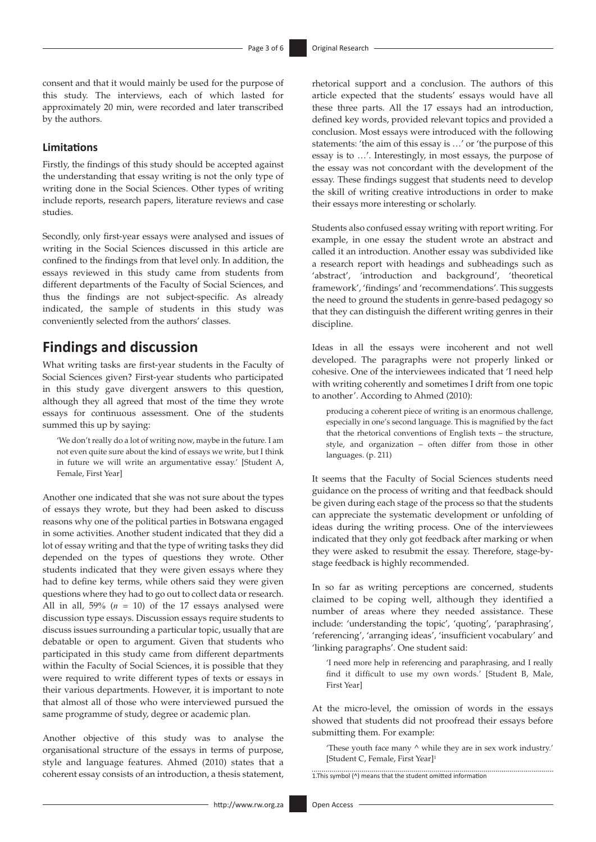consent and that it would mainly be used for the purpose of this study. The interviews, each of which lasted for approximately 20 min, were recorded and later transcribed by the authors.

### **Limitations**

Firstly, the findings of this study should be accepted against the understanding that essay writing is not the only type of writing done in the Social Sciences. Other types of writing include reports, research papers, literature reviews and case studies.

Secondly, only first-year essays were analysed and issues of writing in the Social Sciences discussed in this article are confined to the findings from that level only. In addition, the essays reviewed in this study came from students from different departments of the Faculty of Social Sciences, and thus the findings are not subject-specific. As already indicated, the sample of students in this study was conveniently selected from the authors' classes.

# **Findings and discussion**

What writing tasks are first-year students in the Faculty of Social Sciences given? First-year students who participated in this study gave divergent answers to this question, although they all agreed that most of the time they wrote essays for continuous assessment. One of the students summed this up by saying:

'We don't really do a lot of writing now, maybe in the future. I am not even quite sure about the kind of essays we write, but I think in future we will write an argumentative essay.' [Student A, Female, First Year]

Another one indicated that she was not sure about the types of essays they wrote, but they had been asked to discuss reasons why one of the political parties in Botswana engaged in some activities. Another student indicated that they did a lot of essay writing and that the type of writing tasks they did depended on the types of questions they wrote. Other students indicated that they were given essays where they had to define key terms, while others said they were given questions where they had to go out to collect data or research. All in all,  $59\%$  ( $n = 10$ ) of the 17 essays analysed were discussion type essays. Discussion essays require students to discuss issues surrounding a particular topic, usually that are debatable or open to argument. Given that students who participated in this study came from different departments within the Faculty of Social Sciences, it is possible that they were required to write different types of texts or essays in their various departments. However, it is important to note that almost all of those who were interviewed pursued the same programme of study, degree or academic plan.

Another objective of this study was to analyse the organisational structure of the essays in terms of purpose, style and language features. Ahmed (2010) states that a coherent essay consists of an introduction, a thesis statement, rhetorical support and a conclusion. The authors of this article expected that the students' essays would have all these three parts. All the 17 essays had an introduction, defined key words, provided relevant topics and provided a conclusion. Most essays were introduced with the following statements: 'the aim of this essay is …' or 'the purpose of this essay is to …'. Interestingly, in most essays, the purpose of the essay was not concordant with the development of the essay. These findings suggest that students need to develop the skill of writing creative introductions in order to make their essays more interesting or scholarly.

Students also confused essay writing with report writing. For example, in one essay the student wrote an abstract and called it an introduction. Another essay was subdivided like a research report with headings and subheadings such as 'abstract', 'introduction and background', 'theoretical framework', 'findings' and 'recommendations'. This suggests the need to ground the students in genre-based pedagogy so that they can distinguish the different writing genres in their discipline.

Ideas in all the essays were incoherent and not well developed. The paragraphs were not properly linked or cohesive. One of the interviewees indicated that 'I need help with writing coherently and sometimes I drift from one topic to another'. According to Ahmed (2010):

producing a coherent piece of writing is an enormous challenge, especially in one's second language. This is magnified by the fact that the rhetorical conventions of English texts – the structure, style, and organization – often differ from those in other languages. (p. 211)

It seems that the Faculty of Social Sciences students need guidance on the process of writing and that feedback should be given during each stage of the process so that the students can appreciate the systematic development or unfolding of ideas during the writing process. One of the interviewees indicated that they only got feedback after marking or when they were asked to resubmit the essay. Therefore, stage-bystage feedback is highly recommended.

In so far as writing perceptions are concerned, students claimed to be coping well, although they identified a number of areas where they needed assistance. These include: 'understanding the topic', 'quoting', 'paraphrasing', 'referencing', 'arranging ideas', 'insufficient vocabulary' and 'linking paragraphs'. One student said:

'I need more help in referencing and paraphrasing, and I really find it difficult to use my own words.' [Student B, Male, First Year]

At the micro-level, the omission of words in the essays showed that students did not proofread their essays before submitting them. For example:

'These youth face many ^ while they are in sex work industry.' [Student C, Female, First Year]1

1.This symbol (^) means that the student omitted information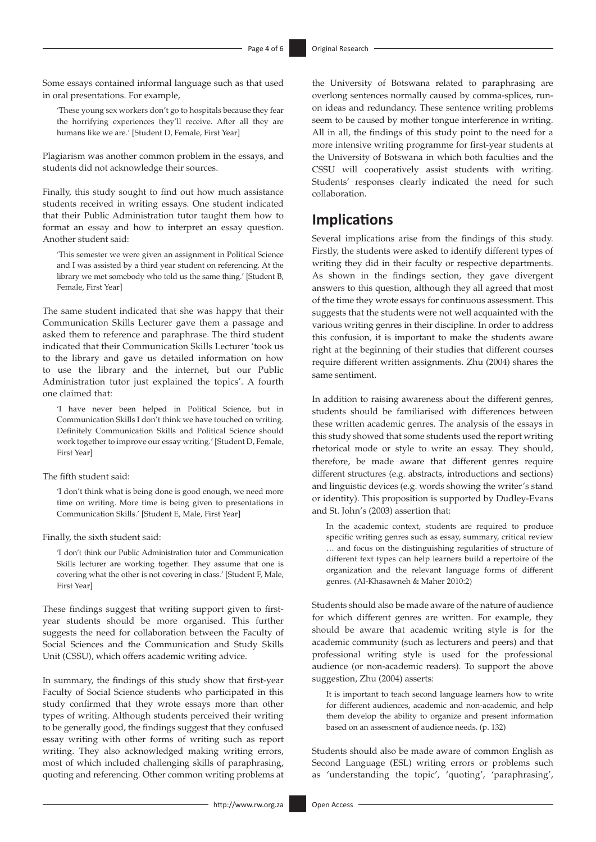Some essays contained informal language such as that used in oral presentations. For example,

'These young sex workers don't go to hospitals because they fear the horrifying experiences they'll receive. After all they are humans like we are.' [Student D, Female, First Year]

Plagiarism was another common problem in the essays, and students did not acknowledge their sources.

Finally, this study sought to find out how much assistance students received in writing essays. One student indicated that their Public Administration tutor taught them how to format an essay and how to interpret an essay question. Another student said:

'This semester we were given an assignment in Political Science and I was assisted by a third year student on referencing. At the library we met somebody who told us the same thing.' [Student B, Female, First Year]

The same student indicated that she was happy that their Communication Skills Lecturer gave them a passage and asked them to reference and paraphrase. The third student indicated that their Communication Skills Lecturer 'took us to the library and gave us detailed information on how to use the library and the internet, but our Public Administration tutor just explained the topics'. A fourth one claimed that:

'I have never been helped in Political Science, but in Communication Skills I don't think we have touched on writing. Definitely Communication Skills and Political Science should work together to improve our essay writing.' [Student D, Female, First Year]

#### The fifth student said:

'I don't think what is being done is good enough, we need more time on writing. More time is being given to presentations in Communication Skills.' [Student E, Male, First Year]

Finally, the sixth student said:

'I don't think our Public Administration tutor and Communication Skills lecturer are working together. They assume that one is covering what the other is not covering in class.' [Student F, Male, First Year]

These findings suggest that writing support given to firstyear students should be more organised. This further suggests the need for collaboration between the Faculty of Social Sciences and the Communication and Study Skills Unit (CSSU), which offers academic writing advice.

In summary, the findings of this study show that first-year Faculty of Social Science students who participated in this study confirmed that they wrote essays more than other types of writing. Although students perceived their writing to be generally good, the findings suggest that they confused essay writing with other forms of writing such as report writing. They also acknowledged making writing errors, most of which included challenging skills of paraphrasing, quoting and referencing. Other common writing problems at the University of Botswana related to paraphrasing are overlong sentences normally caused by comma-splices, runon ideas and redundancy. These sentence writing problems seem to be caused by mother tongue interference in writing. All in all, the findings of this study point to the need for a more intensive writing programme for first-year students at the University of Botswana in which both faculties and the CSSU will cooperatively assist students with writing. Students' responses clearly indicated the need for such collaboration.

### **Implications**

Several implications arise from the findings of this study. Firstly, the students were asked to identify different types of writing they did in their faculty or respective departments. As shown in the findings section, they gave divergent answers to this question, although they all agreed that most of the time they wrote essays for continuous assessment. This suggests that the students were not well acquainted with the various writing genres in their discipline. In order to address this confusion, it is important to make the students aware right at the beginning of their studies that different courses require different written assignments. Zhu (2004) shares the same sentiment.

In addition to raising awareness about the different genres, students should be familiarised with differences between these written academic genres. The analysis of the essays in this study showed that some students used the report writing rhetorical mode or style to write an essay. They should, therefore, be made aware that different genres require different structures (e.g. abstracts, introductions and sections) and linguistic devices (e.g. words showing the writer's stand or identity). This proposition is supported by Dudley-Evans and St. John's (2003) assertion that:

In the academic context, students are required to produce specific writing genres such as essay, summary, critical review … and focus on the distinguishing regularities of structure of different text types can help learners build a repertoire of the organization and the relevant language forms of different genres. (Al-Khasawneh & Maher 2010:2)

Students should also be made aware of the nature of audience for which different genres are written. For example, they should be aware that academic writing style is for the academic community (such as lecturers and peers) and that professional writing style is used for the professional audience (or non-academic readers). To support the above suggestion, Zhu (2004) asserts:

It is important to teach second language learners how to write for different audiences, academic and non-academic, and help them develop the ability to organize and present information based on an assessment of audience needs. (p. 132)

Students should also be made aware of common English as Second Language (ESL) writing errors or problems such as 'understanding the topic', 'quoting', 'paraphrasing',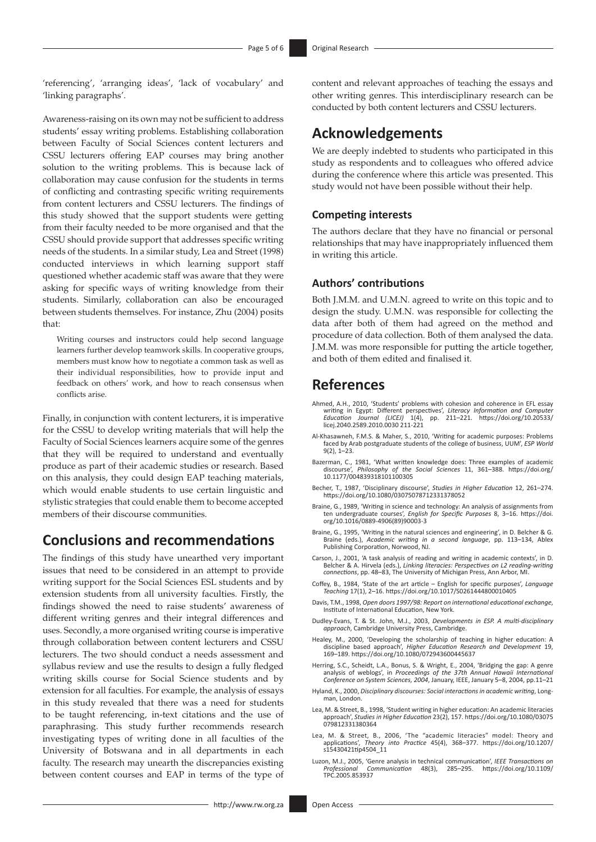'referencing', 'arranging ideas', 'lack of vocabulary' and 'linking paragraphs'.

Awareness-raising on its own may not be sufficient to address students' essay writing problems. Establishing collaboration between Faculty of Social Sciences content lecturers and CSSU lecturers offering EAP courses may bring another solution to the writing problems. This is because lack of collaboration may cause confusion for the students in terms of conflicting and contrasting specific writing requirements from content lecturers and CSSU lecturers. The findings of this study showed that the support students were getting from their faculty needed to be more organised and that the CSSU should provide support that addresses specific writing needs of the students. In a similar study, Lea and Street (1998) conducted interviews in which learning support staff questioned whether academic staff was aware that they were asking for specific ways of writing knowledge from their students. Similarly, collaboration can also be encouraged between students themselves. For instance, Zhu (2004) posits that:

Writing courses and instructors could help second language learners further develop teamwork skills. In cooperative groups, members must know how to negotiate a common task as well as their individual responsibilities, how to provide input and feedback on others' work, and how to reach consensus when conflicts arise.

Finally, in conjunction with content lecturers, it is imperative for the CSSU to develop writing materials that will help the Faculty of Social Sciences learners acquire some of the genres that they will be required to understand and eventually produce as part of their academic studies or research. Based on this analysis, they could design EAP teaching materials, which would enable students to use certain linguistic and stylistic strategies that could enable them to become accepted members of their discourse communities.

### **Conclusions and recommendations**

The findings of this study have unearthed very important issues that need to be considered in an attempt to provide writing support for the Social Sciences ESL students and by extension students from all university faculties. Firstly, the findings showed the need to raise students' awareness of different writing genres and their integral differences and uses. Secondly, a more organised writing course is imperative through collaboration between content lecturers and CSSU lecturers. The two should conduct a needs assessment and syllabus review and use the results to design a fully fledged writing skills course for Social Science students and by extension for all faculties. For example, the analysis of essays in this study revealed that there was a need for students to be taught referencing, in-text citations and the use of paraphrasing. This study further recommends research investigating types of writing done in all faculties of the University of Botswana and in all departments in each faculty. The research may unearth the discrepancies existing between content courses and EAP in terms of the type of

content and relevant approaches of teaching the essays and other writing genres. This interdisciplinary research can be conducted by both content lecturers and CSSU lecturers.

### **Acknowledgements**

We are deeply indebted to students who participated in this study as respondents and to colleagues who offered advice during the conference where this article was presented. This study would not have been possible without their help.

### **Competing interests**

The authors declare that they have no financial or personal relationships that may have inappropriately influenced them in writing this article.

### **Authors' contributions**

Both J.M.M. and U.M.N. agreed to write on this topic and to design the study. U.M.N. was responsible for collecting the data after both of them had agreed on the method and procedure of data collection. Both of them analysed the data. J.M.M. was more responsible for putting the article together, and both of them edited and finalised it.

### **References**

- Ahmed, A.H., 2010, 'Students' problems with cohesion and coherence in EFL essay writing in Egypt: Different perspectives', *Literacy Information and Computer Education Journal (LICEJ)* 1(4), pp. 211–221. [https://doi.org/10.20533/](https://doi.org/10.20533/licej.2040.2589.2010.0030) [licej.2040.2589.2010.0030](https://doi.org/10.20533/licej.2040.2589.2010.0030) 211-221
- Al-Khasawneh, F.M.S. & Maher, S., 2010, 'Writing for academic purposes: Problems faced by Arab postgraduate students of the college of business, UUM', *ESP World*  $9(2)$ ,  $1-23$ .
- Bazerman, C., 1981, 'What written knowledge does: Three examples of academic discourse', *Philosophy of the Social Sciences* 11, 361–388. [https://doi.org/](https://doi.org/10.1177/004839318101100305) [10.1177/004839318101100305](https://doi.org/10.1177/004839318101100305)
- Becher, T., 1987, 'Disciplinary discourse', *Studies in Higher Education* 12, 261–274. <https://doi.org/10.1080/03075078712331378052>
- Braine, G., 1989, 'Writing in science and technology: An analysis of assignments from ten undergraduate courses', *English for Specific Purposes* 8, 3–16. [https://doi.](https://doi.org/10.1016/0889-4906(89)90003-3) [org/10.1016/0889-4906\(89\)90003-3](https://doi.org/10.1016/0889-4906(89)90003-3)
- Braine, G., 1995, 'Writing in the natural sciences and engineering', in D. Belcher & G. Braine (eds.), *Academic writing in a second language*, pp. 113–134, Ablex Publishing Corporation, Norwood, NJ.
- Carson, J., 2001, 'A task analysis of reading and writing in academic contexts', in D. Belcher & A. Hirvela (eds.), *Linking literacies: Perspectives on L2 reading-writing connections*, pp. 48–83, The University of Michigan Press, Ann Arbor, MI.
- Coffey, B., 1984, 'State of the art article English for specific purposes', *Language Teaching* 17(1), 2–16. <https://doi.org/10.1017/S0261444800010405>
- Davis, T.M., 1998, *Open doors 1997/98: Report on international educational exchange*, Institute of International Education, New York.
- Dudley-Evans, T. & St. John, M.J., 2003, *Developments in ESP. A multi-disciplinary approach*, Cambridge University Press, Cambridge.
- Healey, M., 2000, 'Developing the scholarship of teaching in higher education: A discipline based approach', *Higher Education Research and Development* 19, 169–189.<https://doi.org/10.1080/072943600445637>
- Herring, S.C., Scheidt, L.A., Bonus, S. & Wright, E., 2004, 'Bridging the gap: A genre analysis of weblogs', in *Proceedings of the 37th Annual Hawaii International Conference on System Sciences, 2004*, January, IEEE, January 5–8, 2004, pp.11–21
- Hyland, K., 2000, *Disciplinary discourses: Social interactions in academic writing*, Longman, London.
- Lea, M. & Street, B., 1998, 'Student writing in higher education: An academic literacies approach', *Studies in Higher Education* 23(2), 157. [https://doi.org/10.1080/03075](https://doi.org/10.1080/03075079812331380364) [079812331380364](https://doi.org/10.1080/03075079812331380364)
- Lea, M. & Street, B., 2006, 'The "academic literacies" model: Theory and applications', *Theory into Practice* 45(4), 368–377. [https://doi.org/10.1207/](https://doi.org/10.1207/s15430421tip4504_11) [s15430421tip4504\\_11](https://doi.org/10.1207/s15430421tip4504_11)
- Luzon, M.J., 2005, 'Genre analysis in technical communication', *IEEE Transactions on Professional Communication* 48(3), 285–295. [https://doi.org/10.1109/](https://doi.org/10.1109/TPC.2005.853937) [TPC.2005.853937](https://doi.org/10.1109/TPC.2005.853937)